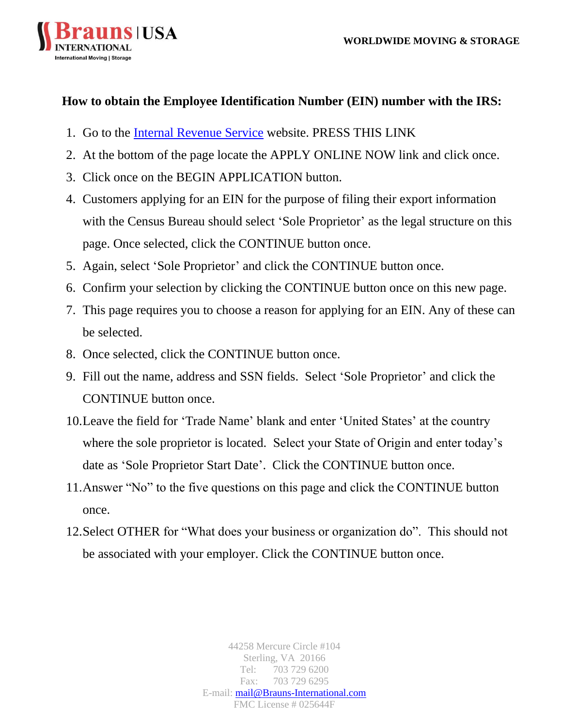

## **How to obtain the Employee Identification Number (EIN) number with the IRS:**

- 1. Go to the [Internal Revenue Service](https://www.irs.gov/) website. PRESS THIS LINK
- 2. At the bottom of the page locate the APPLY ONLINE NOW link and click once.
- 3. Click once on the BEGIN APPLICATION button.
- 4. Customers applying for an EIN for the purpose of filing their export information with the Census Bureau should select 'Sole Proprietor' as the legal structure on this page. Once selected, click the CONTINUE button once.
- 5. Again, select 'Sole Proprietor' and click the CONTINUE button once.
- 6. Confirm your selection by clicking the CONTINUE button once on this new page.
- 7. This page requires you to choose a reason for applying for an EIN. Any of these can be selected.
- 8. Once selected, click the CONTINUE button once.
- 9. Fill out the name, address and SSN fields. Select 'Sole Proprietor' and click the CONTINUE button once.
- 10.Leave the field for 'Trade Name' blank and enter 'United States' at the country where the sole proprietor is located. Select your State of Origin and enter today's date as 'Sole Proprietor Start Date'. Click the CONTINUE button once.
- 11.Answer "No" to the five questions on this page and click the CONTINUE button once.
- 12.Select OTHER for "What does your business or organization do". This should not be associated with your employer. Click the CONTINUE button once.

44258 Mercure Circle #104 Sterling, VA 20166 Tel: 703 729 6200 Fax: 703 729 6295 E-mail: [mail@Brauns-International.com](mailto:mail@Brauns-International.com) FMC License # 025644F